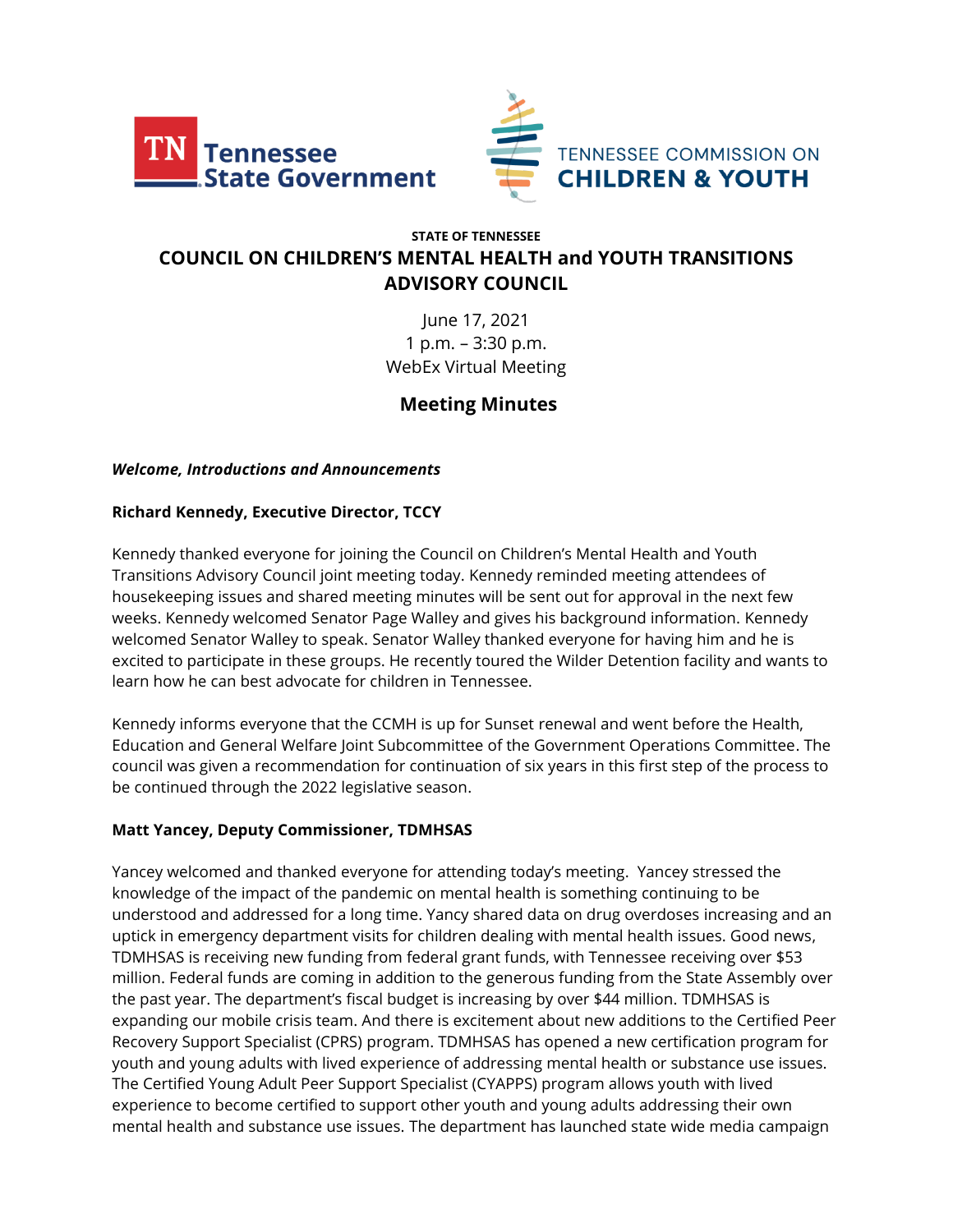



# **STATE OF TENNESSEE COUNCIL ON CHILDREN'S MENTAL HEALTH and YOUTH TRANSITIONS ADVISORY COUNCIL**

June 17, 2021 1 p.m. – 3:30 p.m. WebEx Virtual Meeting

# **Meeting Minutes**

### *Welcome, Introductions and Announcements*

### **Richard Kennedy, Executive Director, TCCY**

Kennedy thanked everyone for joining the Council on Children's Mental Health and Youth Transitions Advisory Council joint meeting today. Kennedy reminded meeting attendees of housekeeping issues and shared meeting minutes will be sent out for approval in the next few weeks. Kennedy welcomed Senator Page Walley and gives his background information. Kennedy welcomed Senator Walley to speak. Senator Walley thanked everyone for having him and he is excited to participate in these groups. He recently toured the Wilder Detention facility and wants to learn how he can best advocate for children in Tennessee.

Kennedy informs everyone that the CCMH is up for Sunset renewal and went before the Health, Education and General Welfare Joint Subcommittee of the Government Operations Committee. The council was given a recommendation for continuation of six years in this first step of the process to be continued through the 2022 legislative season.

### **Matt Yancey, Deputy Commissioner, TDMHSAS**

Yancey welcomed and thanked everyone for attending today's meeting. Yancey stressed the knowledge of the impact of the pandemic on mental health is something continuing to be understood and addressed for a long time. Yancy shared data on drug overdoses increasing and an uptick in emergency department visits for children dealing with mental health issues. Good news, TDMHSAS is receiving new funding from federal grant funds, with Tennessee receiving over \$53 million. Federal funds are coming in addition to the generous funding from the State Assembly over the past year. The department's fiscal budget is increasing by over \$44 million. TDMHSAS is expanding our mobile crisis team. And there is excitement about new additions to the Certified Peer Recovery Support Specialist (CPRS) program. TDMHSAS has opened a new certification program for youth and young adults with lived experience of addressing mental health or substance use issues. The Certified Young Adult Peer Support Specialist (CYAPPS) program allows youth with lived experience to become certified to support other youth and young adults addressing their own mental health and substance use issues. The department has launched state wide media campaign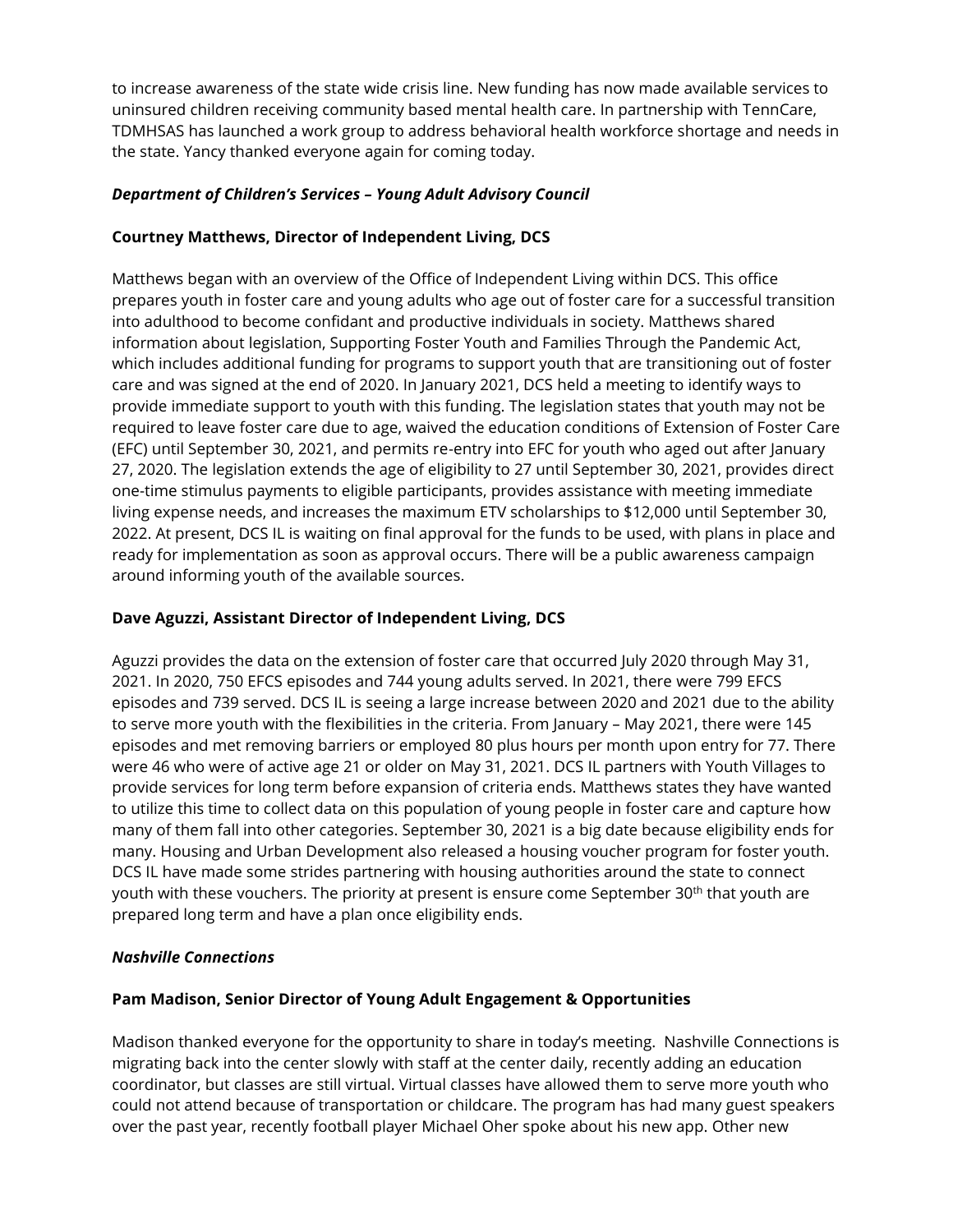to increase awareness of the state wide crisis line. New funding has now made available services to uninsured children receiving community based mental health care. In partnership with TennCare, TDMHSAS has launched a work group to address behavioral health workforce shortage and needs in the state. Yancy thanked everyone again for coming today.

## *Department of Children's Services – Young Adult Advisory Council*

## **Courtney Matthews, Director of Independent Living, DCS**

Matthews began with an overview of the Office of Independent Living within DCS. This office prepares youth in foster care and young adults who age out of foster care for a successful transition into adulthood to become confidant and productive individuals in society. Matthews shared information about legislation, Supporting Foster Youth and Families Through the Pandemic Act, which includes additional funding for programs to support youth that are transitioning out of foster care and was signed at the end of 2020. In January 2021, DCS held a meeting to identify ways to provide immediate support to youth with this funding. The legislation states that youth may not be required to leave foster care due to age, waived the education conditions of Extension of Foster Care (EFC) until September 30, 2021, and permits re-entry into EFC for youth who aged out after January 27, 2020. The legislation extends the age of eligibility to 27 until September 30, 2021, provides direct one-time stimulus payments to eligible participants, provides assistance with meeting immediate living expense needs, and increases the maximum ETV scholarships to \$12,000 until September 30, 2022. At present, DCS IL is waiting on final approval for the funds to be used, with plans in place and ready for implementation as soon as approval occurs. There will be a public awareness campaign around informing youth of the available sources.

## **Dave Aguzzi, Assistant Director of Independent Living, DCS**

Aguzzi provides the data on the extension of foster care that occurred July 2020 through May 31, 2021. In 2020, 750 EFCS episodes and 744 young adults served. In 2021, there were 799 EFCS episodes and 739 served. DCS IL is seeing a large increase between 2020 and 2021 due to the ability to serve more youth with the flexibilities in the criteria. From January – May 2021, there were 145 episodes and met removing barriers or employed 80 plus hours per month upon entry for 77. There were 46 who were of active age 21 or older on May 31, 2021. DCS IL partners with Youth Villages to provide services for long term before expansion of criteria ends. Matthews states they have wanted to utilize this time to collect data on this population of young people in foster care and capture how many of them fall into other categories. September 30, 2021 is a big date because eligibility ends for many. Housing and Urban Development also released a housing voucher program for foster youth. DCS IL have made some strides partnering with housing authorities around the state to connect youth with these vouchers. The priority at present is ensure come September 30<sup>th</sup> that youth are prepared long term and have a plan once eligibility ends.

### *Nashville Connections*

## **Pam Madison, Senior Director of Young Adult Engagement & Opportunities**

Madison thanked everyone for the opportunity to share in today's meeting. Nashville Connections is migrating back into the center slowly with staff at the center daily, recently adding an education coordinator, but classes are still virtual. Virtual classes have allowed them to serve more youth who could not attend because of transportation or childcare. The program has had many guest speakers over the past year, recently football player Michael Oher spoke about his new app. Other new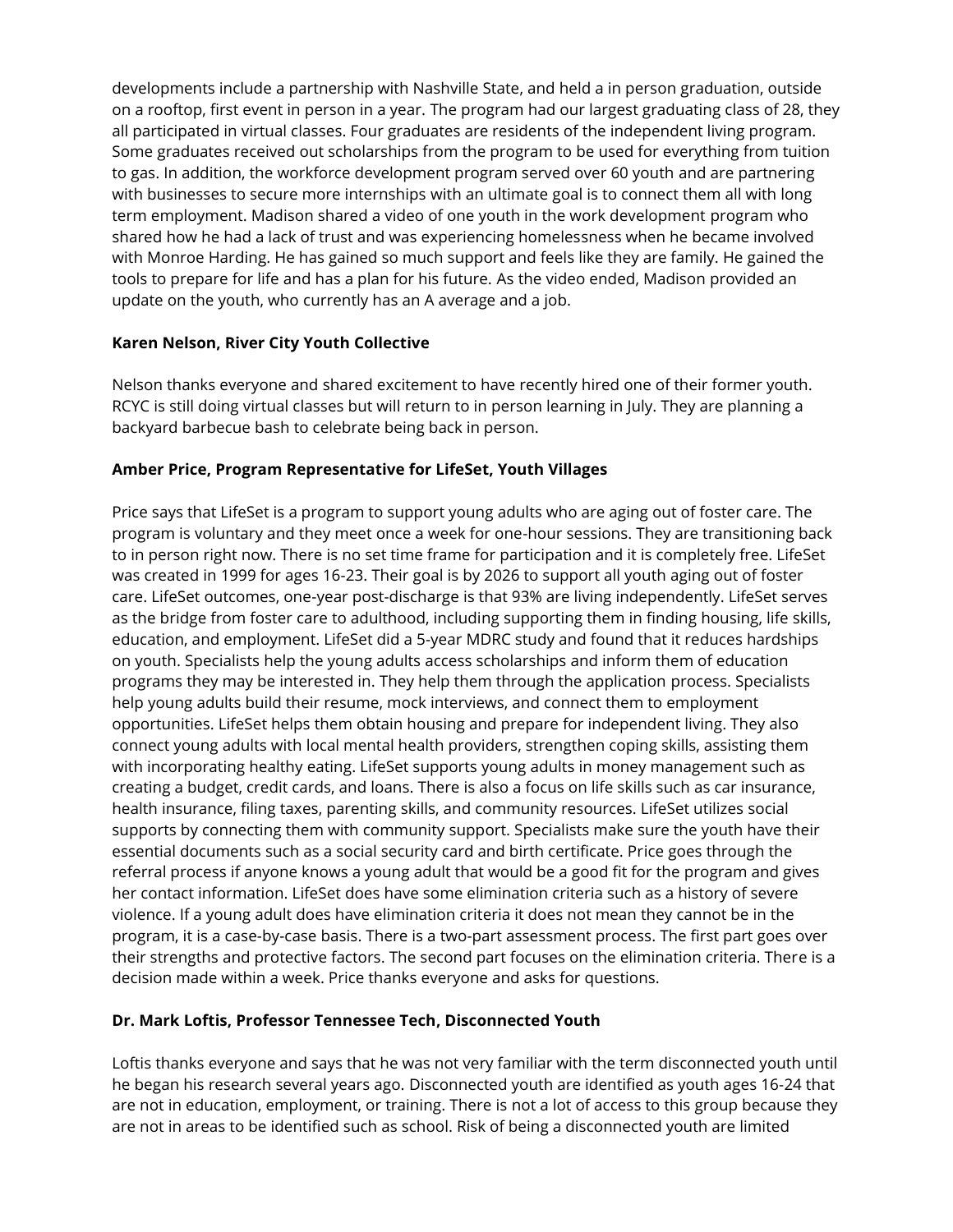developments include a partnership with Nashville State, and held a in person graduation, outside on a rooftop, first event in person in a year. The program had our largest graduating class of 28, they all participated in virtual classes. Four graduates are residents of the independent living program. Some graduates received out scholarships from the program to be used for everything from tuition to gas. In addition, the workforce development program served over 60 youth and are partnering with businesses to secure more internships with an ultimate goal is to connect them all with long term employment. Madison shared a video of one youth in the work development program who shared how he had a lack of trust and was experiencing homelessness when he became involved with Monroe Harding. He has gained so much support and feels like they are family. He gained the tools to prepare for life and has a plan for his future. As the video ended, Madison provided an update on the youth, who currently has an A average and a job.

## **Karen Nelson, River City Youth Collective**

Nelson thanks everyone and shared excitement to have recently hired one of their former youth. RCYC is still doing virtual classes but will return to in person learning in July. They are planning a backyard barbecue bash to celebrate being back in person.

## **Amber Price, Program Representative for LifeSet, Youth Villages**

Price says that LifeSet is a program to support young adults who are aging out of foster care. The program is voluntary and they meet once a week for one-hour sessions. They are transitioning back to in person right now. There is no set time frame for participation and it is completely free. LifeSet was created in 1999 for ages 16-23. Their goal is by 2026 to support all youth aging out of foster care. LifeSet outcomes, one-year post-discharge is that 93% are living independently. LifeSet serves as the bridge from foster care to adulthood, including supporting them in finding housing, life skills, education, and employment. LifeSet did a 5-year MDRC study and found that it reduces hardships on youth. Specialists help the young adults access scholarships and inform them of education programs they may be interested in. They help them through the application process. Specialists help young adults build their resume, mock interviews, and connect them to employment opportunities. LifeSet helps them obtain housing and prepare for independent living. They also connect young adults with local mental health providers, strengthen coping skills, assisting them with incorporating healthy eating. LifeSet supports young adults in money management such as creating a budget, credit cards, and loans. There is also a focus on life skills such as car insurance, health insurance, filing taxes, parenting skills, and community resources. LifeSet utilizes social supports by connecting them with community support. Specialists make sure the youth have their essential documents such as a social security card and birth certificate. Price goes through the referral process if anyone knows a young adult that would be a good fit for the program and gives her contact information. LifeSet does have some elimination criteria such as a history of severe violence. If a young adult does have elimination criteria it does not mean they cannot be in the program, it is a case-by-case basis. There is a two-part assessment process. The first part goes over their strengths and protective factors. The second part focuses on the elimination criteria. There is a decision made within a week. Price thanks everyone and asks for questions.

## **Dr. Mark Loftis, Professor Tennessee Tech, Disconnected Youth**

Loftis thanks everyone and says that he was not very familiar with the term disconnected youth until he began his research several years ago. Disconnected youth are identified as youth ages 16-24 that are not in education, employment, or training. There is not a lot of access to this group because they are not in areas to be identified such as school. Risk of being a disconnected youth are limited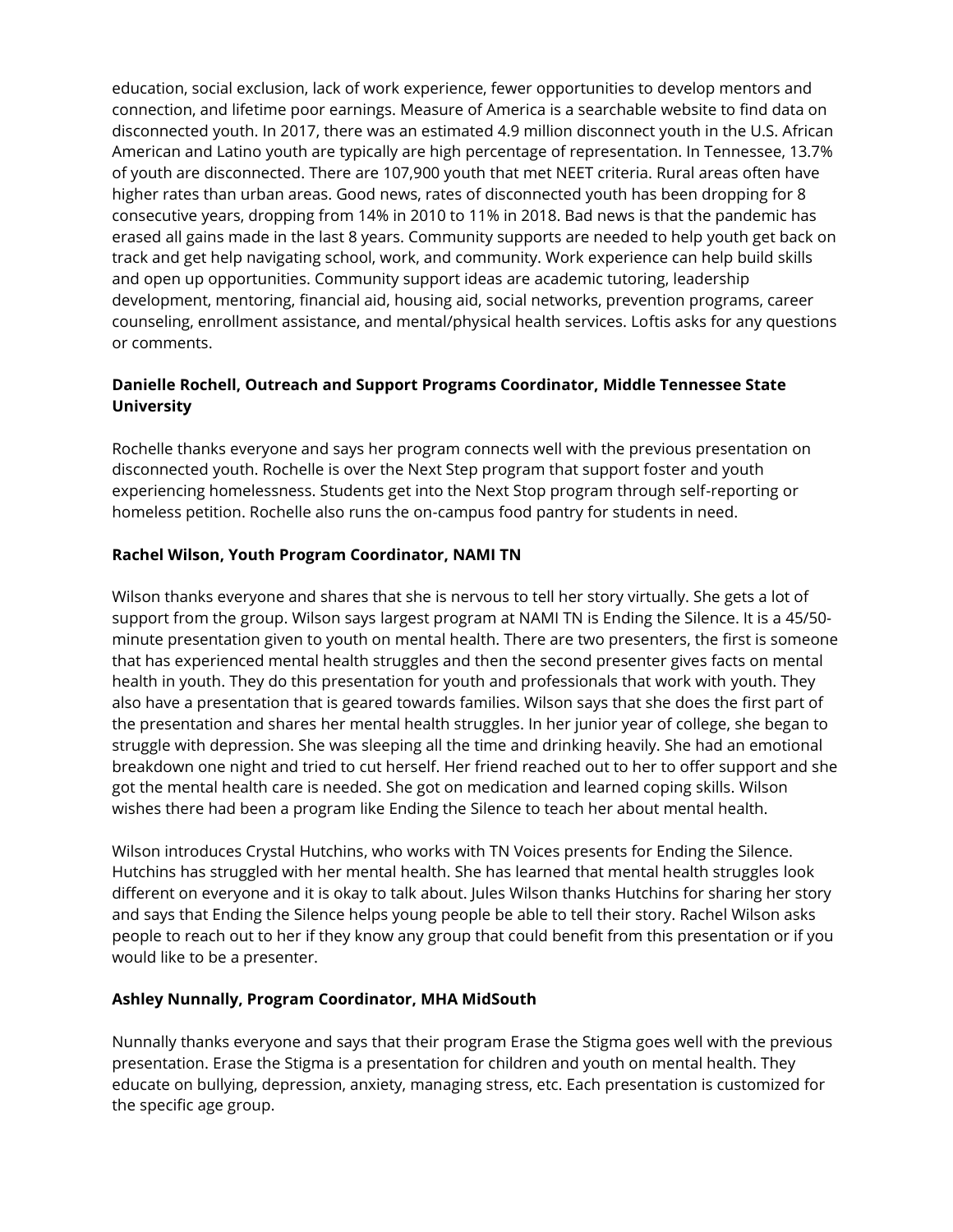education, social exclusion, lack of work experience, fewer opportunities to develop mentors and connection, and lifetime poor earnings. Measure of America is a searchable website to find data on disconnected youth. In 2017, there was an estimated 4.9 million disconnect youth in the U.S. African American and Latino youth are typically are high percentage of representation. In Tennessee, 13.7% of youth are disconnected. There are 107,900 youth that met NEET criteria. Rural areas often have higher rates than urban areas. Good news, rates of disconnected youth has been dropping for 8 consecutive years, dropping from 14% in 2010 to 11% in 2018. Bad news is that the pandemic has erased all gains made in the last 8 years. Community supports are needed to help youth get back on track and get help navigating school, work, and community. Work experience can help build skills and open up opportunities. Community support ideas are academic tutoring, leadership development, mentoring, financial aid, housing aid, social networks, prevention programs, career counseling, enrollment assistance, and mental/physical health services. Loftis asks for any questions or comments.

## **Danielle Rochell, Outreach and Support Programs Coordinator, Middle Tennessee State University**

Rochelle thanks everyone and says her program connects well with the previous presentation on disconnected youth. Rochelle is over the Next Step program that support foster and youth experiencing homelessness. Students get into the Next Stop program through self-reporting or homeless petition. Rochelle also runs the on-campus food pantry for students in need.

### **Rachel Wilson, Youth Program Coordinator, NAMI TN**

Wilson thanks everyone and shares that she is nervous to tell her story virtually. She gets a lot of support from the group. Wilson says largest program at NAMI TN is Ending the Silence. It is a 45/50 minute presentation given to youth on mental health. There are two presenters, the first is someone that has experienced mental health struggles and then the second presenter gives facts on mental health in youth. They do this presentation for youth and professionals that work with youth. They also have a presentation that is geared towards families. Wilson says that she does the first part of the presentation and shares her mental health struggles. In her junior year of college, she began to struggle with depression. She was sleeping all the time and drinking heavily. She had an emotional breakdown one night and tried to cut herself. Her friend reached out to her to offer support and she got the mental health care is needed. She got on medication and learned coping skills. Wilson wishes there had been a program like Ending the Silence to teach her about mental health.

Wilson introduces Crystal Hutchins, who works with TN Voices presents for Ending the Silence. Hutchins has struggled with her mental health. She has learned that mental health struggles look different on everyone and it is okay to talk about. Jules Wilson thanks Hutchins for sharing her story and says that Ending the Silence helps young people be able to tell their story. Rachel Wilson asks people to reach out to her if they know any group that could benefit from this presentation or if you would like to be a presenter.

### **Ashley Nunnally, Program Coordinator, MHA MidSouth**

Nunnally thanks everyone and says that their program Erase the Stigma goes well with the previous presentation. Erase the Stigma is a presentation for children and youth on mental health. They educate on bullying, depression, anxiety, managing stress, etc. Each presentation is customized for the specific age group.